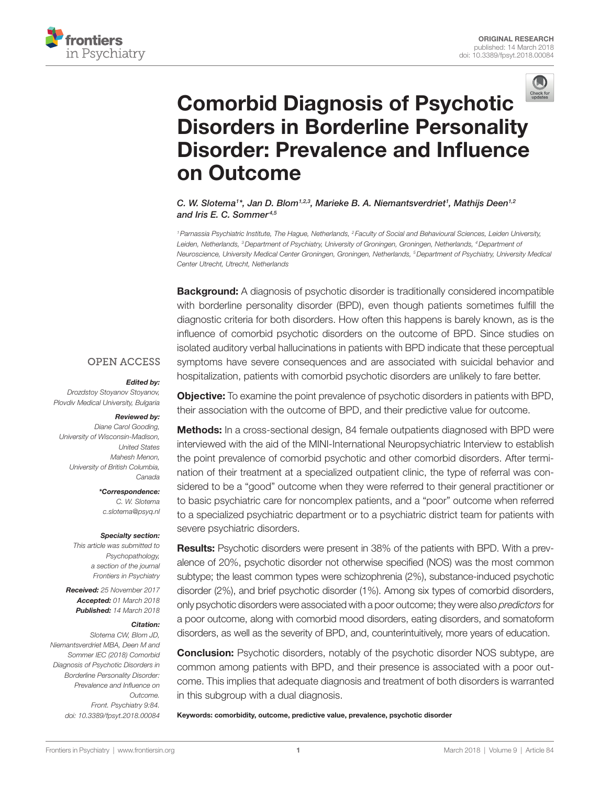



# [comorbid Diagnosis of Psychotic](https://www.frontiersin.org/Journal/10.3389/fpsyt.2018.00084/full)  [Disorders in Borderline Personality](https://www.frontiersin.org/Journal/10.3389/fpsyt.2018.00084/full)  [Disorder: Prevalence and influence](https://www.frontiersin.org/Journal/10.3389/fpsyt.2018.00084/full)  [on Outcome](https://www.frontiersin.org/Journal/10.3389/fpsyt.2018.00084/full)

[C. W. Slotema](https://loop.frontiersin.org/people/495588)<sup>1\*</sup>, Jan D. Blom<sup>1,2,3</sup>, Marieke B. A. Niemantsverdriet<sup>1</sup>, Mathijs Deen<sup>1,2</sup> *and [Iris E. C. Sommer](https://loop.frontiersin.org/people/6577) 4,5*

*1Parnassia Psychiatric Institute, The Hague, Netherlands, 2 Faculty of Social and Behavioural Sciences, Leiden University,*  Leiden, Netherlands, <sup>3</sup>Department of Psychiatry, University of Groningen, Groningen, Netherlands, <sup>4</sup>Department of *Neuroscience, University Medical Center Groningen, Groningen, Netherlands, 5Department of Psychiatry, University Medical Center Utrecht, Utrecht, Netherlands*

**Background:** A diagnosis of psychotic disorder is traditionally considered incompatible with borderline personality disorder (BPD), even though patients sometimes fulfill the diagnostic criteria for both disorders. How often this happens is barely known, as is the influence of comorbid psychotic disorders on the outcome of BPD. Since studies on isolated auditory verbal hallucinations in patients with BPD indicate that these perceptual symptoms have severe consequences and are associated with suicidal behavior and hospitalization, patients with comorbid psychotic disorders are unlikely to fare better.

#### **OPEN ACCESS**

#### *Edited by:*

*Drozdstoy Stoyanov Stoyanov, Plovdiv Medical University, Bulgaria*

# *Reviewed by:*

*Diane Carol Gooding, University of Wisconsin-Madison, United States Mahesh Menon, University of British Columbia, Canada*

> *\*Correspondence: C. W. Slotema [c.slotema@psyq.nl](mailto:c.slotema@psyq.nl)*

#### *Specialty section:*

*This article was submitted to Psychopathology, a section of the journal Frontiers in Psychiatry*

*Received: 25 November 2017 Accepted: 01 March 2018 Published: 14 March 2018*

#### *Citation:*

*Slotema CW, Blom JD, Niemantsverdriet MBA, Deen M and Sommer IEC (2018) Comorbid Diagnosis of Psychotic Disorders in Borderline Personality Disorder: Prevalence and Influence on Outcome. Front. Psychiatry 9:84. doi: [10.3389/fpsyt.2018.00084](https://doi.org/10.3389/fpsyt.2018.00084)*

Objective: To examine the point prevalence of psychotic disorders in patients with BPD, their association with the outcome of BPD, and their predictive value for outcome.

Methods: In a cross-sectional design, 84 female outpatients diagnosed with BPD were interviewed with the aid of the MINI-International Neuropsychiatric Interview to establish the point prevalence of comorbid psychotic and other comorbid disorders. After termination of their treatment at a specialized outpatient clinic, the type of referral was considered to be a "good" outcome when they were referred to their general practitioner or to basic psychiatric care for noncomplex patients, and a "poor" outcome when referred to a specialized psychiatric department or to a psychiatric district team for patients with severe psychiatric disorders.

**Results:** Psychotic disorders were present in 38% of the patients with BPD. With a prevalence of 20%, psychotic disorder not otherwise specified (NOS) was the most common subtype; the least common types were schizophrenia (2%), substance-induced psychotic disorder (2%), and brief psychotic disorder (1%). Among six types of comorbid disorders, only psychotic disorders were associated with a poor outcome; they were also *predictors* for a poor outcome, along with comorbid mood disorders, eating disorders, and somatoform disorders, as well as the severity of BPD, and, counterintuitively, more years of education.

**Conclusion:** Psychotic disorders, notably of the psychotic disorder NOS subtype, are common among patients with BPD, and their presence is associated with a poor outcome. This implies that adequate diagnosis and treatment of both disorders is warranted in this subgroup with a dual diagnosis.

Keywords: comorbidity, outcome, predictive value, prevalence, psychotic disorder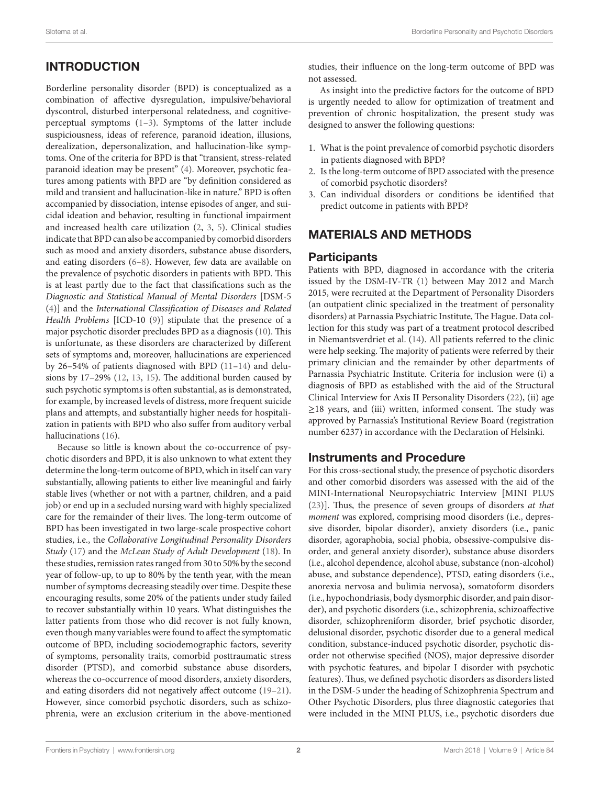# INTRODUCTION

Borderline personality disorder (BPD) is conceptualized as a combination of affective dysregulation, impulsive/behavioral dyscontrol, disturbed interpersonal relatedness, and cognitiveperceptual symptoms ([1](#page-5-0)[–3\)](#page-5-1). Symptoms of the latter include suspiciousness, ideas of reference, paranoid ideation, illusions, derealization, depersonalization, and hallucination-like symptoms. One of the criteria for BPD is that "transient, stress-related paranoid ideation may be present" ([4](#page-5-2)). Moreover, psychotic features among patients with BPD are "by definition considered as mild and transient and hallucination-like in nature." BPD is often accompanied by dissociation, intense episodes of anger, and suicidal ideation and behavior, resulting in functional impairment and increased health care utilization [\(2,](#page-5-3) [3,](#page-5-1) [5](#page-5-4)). Clinical studies indicate that BPD can also be accompanied by comorbid disorders such as mood and anxiety disorders, substance abuse disorders, and eating disorders ([6](#page-5-5)[–8\)](#page-5-6). However, few data are available on the prevalence of psychotic disorders in patients with BPD. This is at least partly due to the fact that classifications such as the *Diagnostic and Statistical Manual of Mental Disorders* [DSM-5 ([4](#page-5-2))] and the *International Classification of Diseases and Related Health Problems* [ICD-10 [\(9\)](#page-5-7)] stipulate that the presence of a major psychotic disorder precludes BPD as a diagnosis [\(10\)](#page-6-0). This is unfortunate, as these disorders are characterized by different sets of symptoms and, moreover, hallucinations are experienced by 26–54% of patients diagnosed with BPD [\(11](#page-6-1)[–14](#page-6-2)) and delusions by 17–29% [\(12](#page-6-3), [13,](#page-6-4) [15\)](#page-6-5). The additional burden caused by such psychotic symptoms is often substantial, as is demonstrated, for example, by increased levels of distress, more frequent suicide plans and attempts, and substantially higher needs for hospitalization in patients with BPD who also suffer from auditory verbal hallucinations [\(16\)](#page-6-6).

Because so little is known about the co-occurrence of psychotic disorders and BPD, it is also unknown to what extent they determine the long-term outcome of BPD, which in itself can vary substantially, allowing patients to either live meaningful and fairly stable lives (whether or not with a partner, children, and a paid job) or end up in a secluded nursing ward with highly specialized care for the remainder of their lives. The long-term outcome of BPD has been investigated in two large-scale prospective cohort studies, i.e., the *Collaborative Longitudinal Personality Disorders Study* [\(17\)](#page-6-7) and the *McLean Study of Adult Development* ([18\)](#page-6-8). In these studies, remission rates ranged from 30 to 50% by the second year of follow-up, to up to 80% by the tenth year, with the mean number of symptoms decreasing steadily over time. Despite these encouraging results, some 20% of the patients under study failed to recover substantially within 10 years. What distinguishes the latter patients from those who did recover is not fully known, even though many variables were found to affect the symptomatic outcome of BPD, including sociodemographic factors, severity of symptoms, personality traits, comorbid posttraumatic stress disorder (PTSD), and comorbid substance abuse disorders, whereas the co-occurrence of mood disorders, anxiety disorders, and eating disorders did not negatively affect outcome ([19–](#page-6-9)[21\)](#page-6-10). However, since comorbid psychotic disorders, such as schizophrenia, were an exclusion criterium in the above-mentioned

studies, their influence on the long-term outcome of BPD was not assessed.

As insight into the predictive factors for the outcome of BPD is urgently needed to allow for optimization of treatment and prevention of chronic hospitalization, the present study was designed to answer the following questions:

- 1. What is the point prevalence of comorbid psychotic disorders in patients diagnosed with BPD?
- 2. Is the long-term outcome of BPD associated with the presence of comorbid psychotic disorders?
- 3. Can individual disorders or conditions be identified that predict outcome in patients with BPD?

# MATERIALS AND METHODS

## **Participants**

Patients with BPD, diagnosed in accordance with the criteria issued by the DSM-IV-TR [\(1\)](#page-5-0) between May 2012 and March 2015, were recruited at the Department of Personality Disorders (an outpatient clinic specialized in the treatment of personality disorders) at Parnassia Psychiatric Institute, The Hague. Data collection for this study was part of a treatment protocol described in Niemantsverdriet et al. ([14\)](#page-6-2). All patients referred to the clinic were help seeking. The majority of patients were referred by their primary clinician and the remainder by other departments of Parnassia Psychiatric Institute. Criteria for inclusion were (i) a diagnosis of BPD as established with the aid of the Structural Clinical Interview for Axis II Personality Disorders [\(22](#page-6-11)), (ii) age ≥18 years, and (iii) written, informed consent. The study was approved by Parnassia's Institutional Review Board (registration number 6237) in accordance with the Declaration of Helsinki.

## Instruments and Procedure

For this cross-sectional study, the presence of psychotic disorders and other comorbid disorders was assessed with the aid of the MINI-International Neuropsychiatric Interview [MINI PLUS [\(23](#page-6-12))]. Thus, the presence of seven groups of disorders *at that moment* was explored, comprising mood disorders (i.e., depressive disorder, bipolar disorder), anxiety disorders (i.e., panic disorder, agoraphobia, social phobia, obsessive-compulsive disorder, and general anxiety disorder), substance abuse disorders (i.e., alcohol dependence, alcohol abuse, substance (non-alcohol) abuse, and substance dependence), PTSD, eating disorders (i.e., anorexia nervosa and bulimia nervosa), somatoform disorders (i.e., hypochondriasis, body dysmorphic disorder, and pain disorder), and psychotic disorders (i.e., schizophrenia, schizoaffective disorder, schizophreniform disorder, brief psychotic disorder, delusional disorder, psychotic disorder due to a general medical condition, substance-induced psychotic disorder, psychotic disorder not otherwise specified (NOS), major depressive disorder with psychotic features, and bipolar I disorder with psychotic features). Thus, we defined psychotic disorders as disorders listed in the DSM-5 under the heading of Schizophrenia Spectrum and Other Psychotic Disorders, plus three diagnostic categories that were included in the MINI PLUS, i.e., psychotic disorders due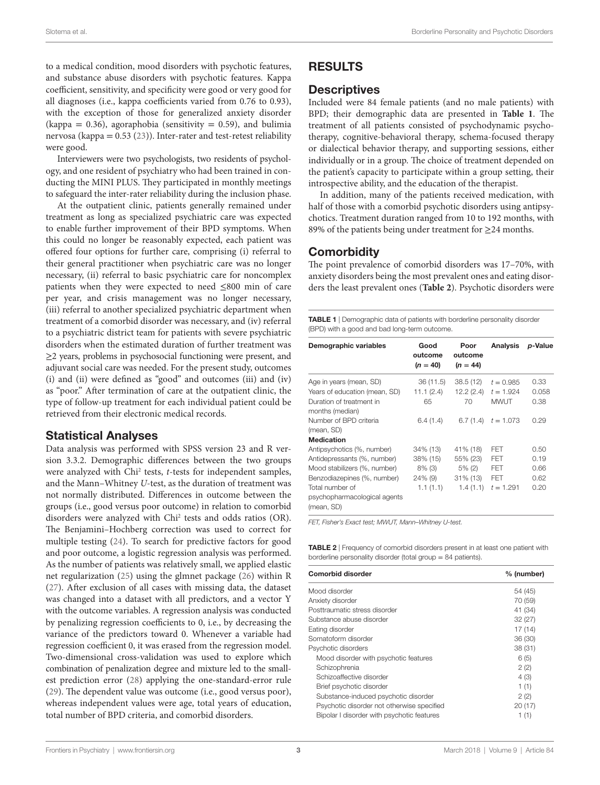to a medical condition, mood disorders with psychotic features, and substance abuse disorders with psychotic features. Kappa coefficient, sensitivity, and specificity were good or very good for all diagnoses (i.e., kappa coefficients varied from 0.76 to 0.93), with the exception of those for generalized anxiety disorder  $(kappa = 0.36)$ , agoraphobia (sensitivity = 0.59), and bulimia nervosa (kappa =  $0.53$  ([23\)](#page-6-12)). Inter-rater and test-retest reliability were good.

Interviewers were two psychologists, two residents of psychology, and one resident of psychiatry who had been trained in conducting the MINI PLUS. They participated in monthly meetings to safeguard the inter-rater reliability during the inclusion phase.

At the outpatient clinic, patients generally remained under treatment as long as specialized psychiatric care was expected to enable further improvement of their BPD symptoms. When this could no longer be reasonably expected, each patient was offered four options for further care, comprising (i) referral to their general practitioner when psychiatric care was no longer necessary, (ii) referral to basic psychiatric care for noncomplex patients when they were expected to need ≤800 min of care per year, and crisis management was no longer necessary, (iii) referral to another specialized psychiatric department when treatment of a comorbid disorder was necessary, and (iv) referral to a psychiatric district team for patients with severe psychiatric disorders when the estimated duration of further treatment was ≥2 years, problems in psychosocial functioning were present, and adjuvant social care was needed. For the present study, outcomes (i) and (ii) were defined as "good" and outcomes (iii) and (iv) as "poor." After termination of care at the outpatient clinic, the type of follow-up treatment for each individual patient could be retrieved from their electronic medical records.

#### Statistical Analyses

Data analysis was performed with SPSS version 23 and R version 3.3.2. Demographic differences between the two groups were analyzed with Chi<sup>2</sup> tests, *t*-tests for independent samples, and the Mann–Whitney *U*-test, as the duration of treatment was not normally distributed. Differences in outcome between the groups (i.e., good versus poor outcome) in relation to comorbid disorders were analyzed with Chi2 tests and odds ratios (OR). The Benjamini–Hochberg correction was used to correct for multiple testing [\(24\)](#page-6-13). To search for predictive factors for good and poor outcome, a logistic regression analysis was performed. As the number of patients was relatively small, we applied elastic net regularization ([25\)](#page-6-14) using the glmnet package [\(26](#page-6-15)) within R ([27\)](#page-6-16). After exclusion of all cases with missing data, the dataset was changed into a dataset with all predictors, and a vector Y with the outcome variables. A regression analysis was conducted by penalizing regression coefficients to 0, i.e., by decreasing the variance of the predictors toward 0. Whenever a variable had regression coefficient 0, it was erased from the regression model. Two-dimensional cross-validation was used to explore which combination of penalization degree and mixture led to the smallest prediction error ([28\)](#page-6-17) applying the one-standard-error rule ([29\)](#page-6-18). The dependent value was outcome (i.e., good versus poor), whereas independent values were age, total years of education, total number of BPD criteria, and comorbid disorders.

## RESULTS

#### **Descriptives**

Included were 84 female patients (and no male patients) with BPD; their demographic data are presented in **[Table 1](#page-2-0)**. The treatment of all patients consisted of psychodynamic psychotherapy, cognitive-behavioral therapy, schema-focused therapy or dialectical behavior therapy, and supporting sessions, either individually or in a group. The choice of treatment depended on the patient's capacity to participate within a group setting, their introspective ability, and the education of the therapist.

In addition, many of the patients received medication, with half of those with a comorbid psychotic disorders using antipsychotics. Treatment duration ranged from 10 to 192 months, with 89% of the patients being under treatment for ≥24 months.

## **Comorbidity**

The point prevalence of comorbid disorders was 17–70%, with anxiety disorders being the most prevalent ones and eating disorders the least prevalent ones (**[Table 2](#page-2-1)**). Psychotic disorders were

<span id="page-2-0"></span>**TABLE 1** | Demographic data of patients with borderline personality disorder (BPD) with a good and bad long-term outcome.

| Demographic variables                                         | Good<br>outcome<br>$(n = 40)$ | Poor<br>outcome<br>$(n = 44)$ | <b>Analysis</b> | <i>p</i> -Value |
|---------------------------------------------------------------|-------------------------------|-------------------------------|-----------------|-----------------|
| Age in years (mean, SD)                                       | 36 (11.5)                     | 38.5(12)                      | $t = 0.985$     | 0.33            |
| Years of education (mean, SD)                                 | 11.1(2.4)                     | 12.2 (2.4)                    | $t = 1.924$     | 0.058           |
| Duration of treatment in<br>months (median)                   | 65                            | 70                            | <b>MWUT</b>     | 0.38            |
| Number of BPD criteria<br>(mean, SD)                          | 6.4(1.4)                      | 6.7(1.4)                      | $t = 1.073$     | 0.29            |
| <b>Medication</b>                                             |                               |                               |                 |                 |
| Antipsychotics (%, number)                                    | 34% (13)                      | 41% (18)                      | FFT             | 0.50            |
| Antidepressants (%, number)                                   | 38% (15)                      | 55% (23)                      | <b>FET</b>      | 0.19            |
| Mood stabilizers (%, number)                                  | $8\%$ (3)                     | $5\%$ (2)                     | FFT             | 0.66            |
| Benzodiazepines (%, number)                                   | $24\%$ (9)                    | $31\%$ (13)                   | FFT             | 0.62            |
| Total number of<br>psychopharmacological agents<br>(mean, SD) | 1.1(1.1)                      | 1.4(1.1)                      | $t = 1.291$     | 0.20            |

*FET, Fisher's Exact test; MWUT, Mann–Whitney U-test.*

<span id="page-2-1"></span>TABLE 2 | Frequency of comorbid disorders present in at least one patient with borderline personality disorder (total group  $= 84$  patients).

| <b>Comorbid disorder</b>                   | % (number) |
|--------------------------------------------|------------|
| Mood disorder                              | 54 (45)    |
| Anxiety disorder                           | 70 (59)    |
| Posttraumatic stress disorder              | 41 (34)    |
| Substance abuse disorder                   | 32(27)     |
| Eating disorder                            | 17 (14)    |
| Somatoform disorder                        | 36 (30)    |
| Psychotic disorders                        | 38 (31)    |
| Mood disorder with psychotic features      | 6(5)       |
| Schizophrenia                              | 2(2)       |
| Schizoaffective disorder                   | 4(3)       |
| Brief psychotic disorder                   | 1(1)       |
| Substance-induced psychotic disorder       | 2(2)       |
| Psychotic disorder not otherwise specified | 20(17)     |
| Bipolar I disorder with psychotic features | 1 (1)      |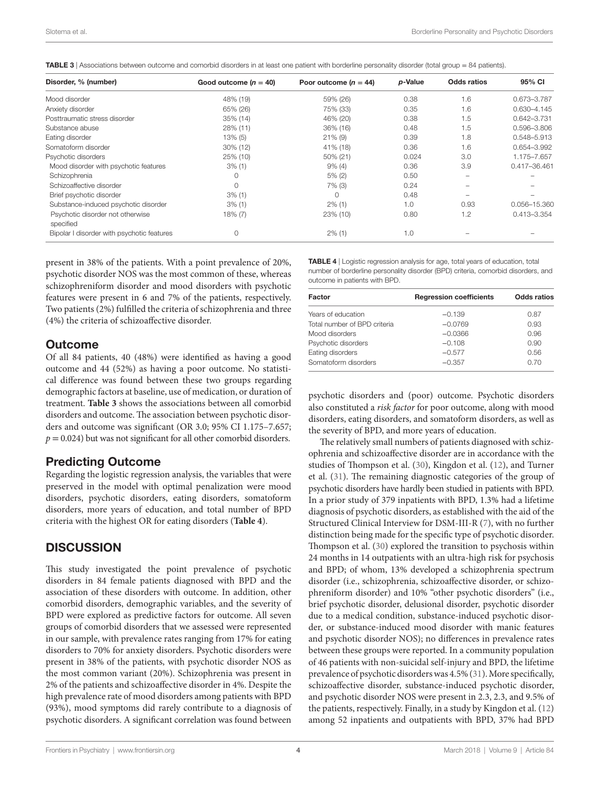<span id="page-3-0"></span>

|  | TABLE 3   Associations between outcome and comorbid disorders in at least one patient with borderline personality disorder (total group = 84 patients). |
|--|---------------------------------------------------------------------------------------------------------------------------------------------------------|
|--|---------------------------------------------------------------------------------------------------------------------------------------------------------|

| Disorder, % (number)                          | Good outcome $(n = 40)$ | Poor outcome $(n = 44)$ | p-Value | Odds ratios | 95% CI          |
|-----------------------------------------------|-------------------------|-------------------------|---------|-------------|-----------------|
| Mood disorder                                 | 48% (19)                | 59% (26)                | 0.38    | 1.6         | 0.673-3.787     |
| Anxiety disorder                              | 65% (26)                | 75% (33)                | 0.35    | 1.6         | $0.630 - 4.145$ |
| Posttraumatic stress disorder                 | 35% (14)                | 46% (20)                | 0.38    | 1.5         | $0.642 - 3.731$ |
| Substance abuse                               | 28% (11)                | 36% (16)                | 0.48    | 1.5         | 0.596-3.806     |
| Eating disorder                               | 13% (5)                 | $21\%$ (9)              | 0.39    | 1.8         | 0.548-5.913     |
| Somatoform disorder                           | $30\%$ (12)             | 41% (18)                | 0.36    | 1.6         | 0.654-3.992     |
| Psychotic disorders                           | 25% (10)                | 50% (21)                | 0.024   | 3.0         | 1.175-7.657     |
| Mood disorder with psychotic features         | $3\%$ (1)               | $9\%$ (4)               | 0.36    | 3.9         | 0.417-36.461    |
| Schizophrenia                                 | 0                       | 5% (2)                  | 0.50    |             |                 |
| Schizoaffective disorder                      | 0                       | $7\%$ (3)               | 0.24    |             |                 |
| Brief psychotic disorder                      | $3\%$ (1)               | $\Omega$                | 0.48    |             |                 |
| Substance-induced psychotic disorder          | $3\%$ (1)               | $2\%$ (1)               | 1.0     | 0.93        | 0.056-15.360    |
| Psychotic disorder not otherwise<br>specified | 18% (7)                 | 23% (10)                | 0.80    | 1.2         | $0.413 - 3.354$ |
| Bipolar I disorder with psychotic features    | 0                       | $2\%$ (1)               | 1.0     |             |                 |

present in 38% of the patients. With a point prevalence of 20%, psychotic disorder NOS was the most common of these, whereas schizophreniform disorder and mood disorders with psychotic features were present in 6 and 7% of the patients, respectively. Two patients (2%) fulfilled the criteria of schizophrenia and three (4%) the criteria of schizoaffective disorder.

#### **Outcome**

Of all 84 patients, 40 (48%) were identified as having a good outcome and 44 (52%) as having a poor outcome. No statistical difference was found between these two groups regarding demographic factors at baseline, use of medication, or duration of treatment. **[Table 3](#page-3-0)** shows the associations between all comorbid disorders and outcome. The association between psychotic disorders and outcome was significant (OR 3.0; 95% CI 1.175–7.657;  $p = 0.024$ ) but was not significant for all other comorbid disorders.

#### Predicting Outcome

Regarding the logistic regression analysis, the variables that were preserved in the model with optimal penalization were mood disorders, psychotic disorders, eating disorders, somatoform disorders, more years of education, and total number of BPD criteria with the highest OR for eating disorders (**[Table 4](#page-3-1)**).

## **DISCUSSION**

This study investigated the point prevalence of psychotic disorders in 84 female patients diagnosed with BPD and the association of these disorders with outcome. In addition, other comorbid disorders, demographic variables, and the severity of BPD were explored as predictive factors for outcome. All seven groups of comorbid disorders that we assessed were represented in our sample, with prevalence rates ranging from 17% for eating disorders to 70% for anxiety disorders. Psychotic disorders were present in 38% of the patients, with psychotic disorder NOS as the most common variant (20%). Schizophrenia was present in 2% of the patients and schizoaffective disorder in 4%. Despite the high prevalence rate of mood disorders among patients with BPD (93%), mood symptoms did rarely contribute to a diagnosis of psychotic disorders. A significant correlation was found between

<span id="page-3-1"></span>TABLE 4 | Logistic regression analysis for age, total years of education, total number of borderline personality disorder (BPD) criteria, comorbid disorders, and outcome in patients with BPD.

| Factor                       | <b>Regression coefficients</b> | <b>Odds ratios</b> |
|------------------------------|--------------------------------|--------------------|
| Years of education           | $-0.139$                       | 0.87               |
| Total number of BPD criteria | $-0.0769$                      | 0.93               |
| Mood disorders               | $-0.0366$                      | 0.96               |
| Psychotic disorders          | $-0.108$                       | 0.90               |
| Eating disorders             | $-0.577$                       | 0.56               |
| Somatoform disorders         | $-0.357$                       | 0.70               |

psychotic disorders and (poor) outcome. Psychotic disorders also constituted a *risk factor* for poor outcome, along with mood disorders, eating disorders, and somatoform disorders, as well as the severity of BPD, and more years of education.

The relatively small numbers of patients diagnosed with schizophrenia and schizoaffective disorder are in accordance with the studies of Thompson et al. ([30\)](#page-6-19), Kingdon et al. ([12\)](#page-6-3), and Turner et al. [\(31](#page-6-20)). The remaining diagnostic categories of the group of psychotic disorders have hardly been studied in patients with BPD. In a prior study of 379 inpatients with BPD, 1.3% had a lifetime diagnosis of psychotic disorders, as established with the aid of the Structured Clinical Interview for DSM-III-R ([7](#page-5-8)), with no further distinction being made for the specific type of psychotic disorder. Thompson et al. ([30](#page-6-19)) explored the transition to psychosis within 24 months in 14 outpatients with an ultra-high risk for psychosis and BPD; of whom, 13% developed a schizophrenia spectrum disorder (i.e., schizophrenia, schizoaffective disorder, or schizophreniform disorder) and 10% "other psychotic disorders" (i.e., brief psychotic disorder, delusional disorder, psychotic disorder due to a medical condition, substance-induced psychotic disorder, or substance-induced mood disorder with manic features and psychotic disorder NOS); no differences in prevalence rates between these groups were reported. In a community population of 46 patients with non-suicidal self-injury and BPD, the lifetime prevalence of psychotic disorders was 4.5% [\(31](#page-6-20)). More specifically, schizoaffective disorder, substance-induced psychotic disorder, and psychotic disorder NOS were present in 2.3, 2.3, and 9.5% of the patients, respectively. Finally, in a study by Kingdon et al. ([12\)](#page-6-3) among 52 inpatients and outpatients with BPD, 37% had BPD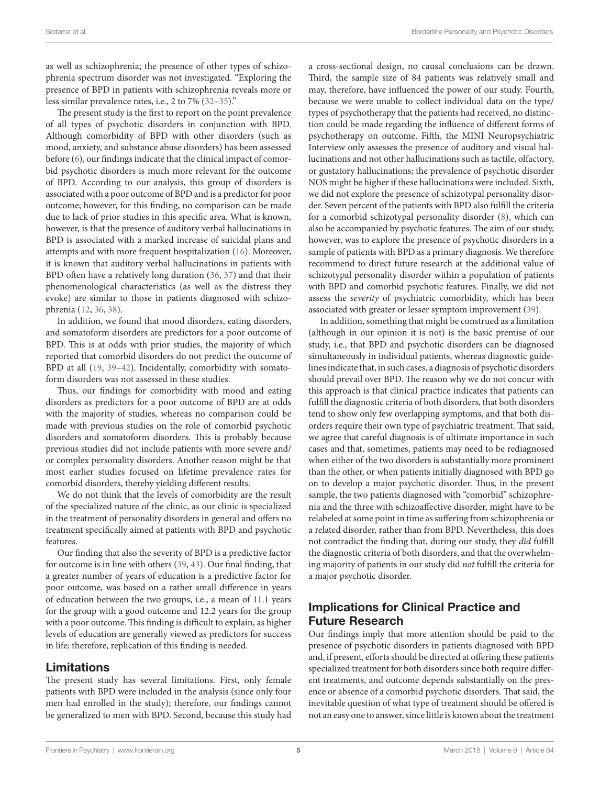as well as schizophrenia; the presence of other types of schizophrenia spectrum disorder was not investigated. "Exploring the presence of BPD in patients with schizophrenia reveals more or less similar prevalence rates, i.e., 2 to 7% [\(32](#page-6-21)[–35\)](#page-6-22)."

The present study is the first to report on the point prevalence of all types of psychotic disorders in conjunction with BPD. Although comorbidity of BPD with other disorders (such as mood, anxiety, and substance abuse disorders) has been assessed before [\(6\)](#page-5-5), our findings indicate that the clinical impact of comorbid psychotic disorders is much more relevant for the outcome of BPD. According to our analysis, this group of disorders is associated with a poor outcome of BPD and is a predictor for poor outcome; however, for this finding, no comparison can be made due to lack of prior studies in this specific area. What is known, however, is that the presence of auditory verbal hallucinations in BPD is associated with a marked increase of suicidal plans and attempts and with more frequent hospitalization ([16\)](#page-6-6). Moreover, it is known that auditory verbal hallucinations in patients with BPD often have a relatively long duration [\(36,](#page-6-23) [37](#page-6-24)) and that their phenomenological characteristics (as well as the distress they evoke) are similar to those in patients diagnosed with schizophrenia [\(12](#page-6-3), [36,](#page-6-23) [38](#page-6-25)).

In addition, we found that mood disorders, eating disorders, and somatoform disorders are predictors for a poor outcome of BPD. This is at odds with prior studies, the majority of which reported that comorbid disorders do not predict the outcome of BPD at all ([19](#page-6-9), [39](#page-6-26)[–42\)](#page-6-27). Incidentally, comorbidity with somatoform disorders was not assessed in these studies.

Thus, our findings for comorbidity with mood and eating disorders as predictors for a poor outcome of BPD are at odds with the majority of studies, whereas no comparison could be made with previous studies on the role of comorbid psychotic disorders and somatoform disorders. This is probably because previous studies did not include patients with more severe and/ or complex personality disorders. Another reason might be that most earlier studies focused on lifetime prevalence rates for comorbid disorders, thereby yielding different results.

We do not think that the levels of comorbidity are the result of the specialized nature of the clinic, as our clinic is specialized in the treatment of personality disorders in general and offers no treatment specifically aimed at patients with BPD and psychotic features.

Our finding that also the severity of BPD is a predictive factor for outcome is in line with others ([39,](#page-6-26) [43](#page-6-28)). Our final finding, that a greater number of years of education is a predictive factor for poor outcome, was based on a rather small difference in years of education between the two groups, i.e., a mean of 11.1 years for the group with a good outcome and 12.2 years for the group with a poor outcome. This finding is difficult to explain, as higher levels of education are generally viewed as predictors for success in life; therefore, replication of this finding is needed.

#### Limitations

The present study has several limitations. First, only female patients with BPD were included in the analysis (since only four men had enrolled in the study); therefore, our findings cannot be generalized to men with BPD. Second, because this study had a cross-sectional design, no causal conclusions can be drawn. Third, the sample size of 84 patients was relatively small and may, therefore, have influenced the power of our study. Fourth, because we were unable to collect individual data on the type/ types of psychotherapy that the patients had received, no distinction could be made regarding the influence of different forms of psychotherapy on outcome. Fifth, the MINI Neuropsychiatric Interview only assesses the presence of auditory and visual hallucinations and not other hallucinations such as tactile, olfactory, or gustatory hallucinations; the prevalence of psychotic disorder NOS might be higher if these hallucinations were included. Sixth, we did not explore the presence of schizotypal personality disorder. Seven percent of the patients with BPD also fulfill the criteria for a comorbid schizotypal personality disorder [\(8\)](#page-5-6), which can also be accompanied by psychotic features. The aim of our study, however, was to explore the presence of psychotic disorders in a sample of patients with BPD as a primary diagnosis. We therefore recommend to direct future research at the additional value of schizotypal personality disorder within a population of patients with BPD and comorbid psychotic features. Finally, we did not assess the *severity* of psychiatric comorbidity, which has been associated with greater or lesser symptom improvement ([39\)](#page-6-26).

In addition, something that might be construed as a limitation (although in our opinion it is not) is the basic premise of our study, i.e., that BPD and psychotic disorders can be diagnosed simultaneously in individual patients, whereas diagnostic guidelines indicate that, in such cases, a diagnosis of psychotic disorders should prevail over BPD. The reason why we do not concur with this approach is that clinical practice indicates that patients can fulfill the diagnostic criteria of both disorders, that both disorders tend to show only few overlapping symptoms, and that both disorders require their own type of psychiatric treatment. That said, we agree that careful diagnosis is of ultimate importance in such cases and that, sometimes, patients may need to be rediagnosed when either of the two disorders is substantially more prominent than the other, or when patients initially diagnosed with BPD go on to develop a major psychotic disorder. Thus, in the present sample, the two patients diagnosed with "comorbid" schizophrenia and the three with schizoaffective disorder, might have to be relabeled at some point in time as suffering from schizophrenia or a related disorder, rather than from BPD. Nevertheless, this does not contradict the finding that, during our study, they *did* fulfill the diagnostic criteria of both disorders, and that the overwhelming majority of patients in our study did *not* fulfill the criteria for a major psychotic disorder.

# Implications for Clinical Practice and Future Research

Our findings imply that more attention should be paid to the presence of psychotic disorders in patients diagnosed with BPD and, if present, efforts should be directed at offering these patients specialized treatment for both disorders since both require different treatments, and outcome depends substantially on the presence or absence of a comorbid psychotic disorders. That said, the inevitable question of what type of treatment should be offered is not an easy one to answer, since little is known about the treatment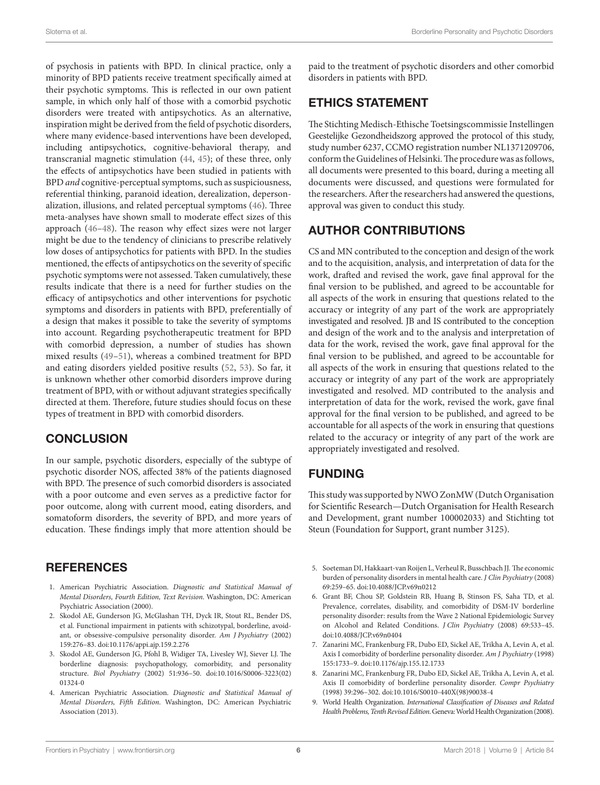of psychosis in patients with BPD. In clinical practice, only a minority of BPD patients receive treatment specifically aimed at their psychotic symptoms. This is reflected in our own patient sample, in which only half of those with a comorbid psychotic disorders were treated with antipsychotics. As an alternative, inspiration might be derived from the field of psychotic disorders, where many evidence-based interventions have been developed, including antipsychotics, cognitive-behavioral therapy, and transcranial magnetic stimulation ([44](#page-6-29), [45\)](#page-6-30); of these three, only the effects of antipsychotics have been studied in patients with BPD *and* cognitive-perceptual symptoms, such as suspiciousness, referential thinking, paranoid ideation, derealization, depersonalization, illusions, and related perceptual symptoms ([46\)](#page-6-31). Three meta-analyses have shown small to moderate effect sizes of this approach [\(46](#page-6-31)[–48](#page-6-32)). The reason why effect sizes were not larger might be due to the tendency of clinicians to prescribe relatively low doses of antipsychotics for patients with BPD. In the studies mentioned, the effects of antipsychotics on the severity of specific psychotic symptoms were not assessed. Taken cumulatively, these results indicate that there is a need for further studies on the efficacy of antipsychotics and other interventions for psychotic symptoms and disorders in patients with BPD, preferentially of a design that makes it possible to take the severity of symptoms into account. Regarding psychotherapeutic treatment for BPD with comorbid depression, a number of studies has shown mixed results [\(49](#page-6-33)[–51](#page-7-0)), whereas a combined treatment for BPD and eating disorders yielded positive results [\(52](#page-7-1), 53). So far, it is unknown whether other comorbid disorders improve during treatment of BPD, with or without adjuvant strategies specifically directed at them. Therefore, future studies should focus on these types of treatment in BPD with comorbid disorders.

## **CONCLUSION**

In our sample, psychotic disorders, especially of the subtype of psychotic disorder NOS, affected 38% of the patients diagnosed with BPD. The presence of such comorbid disorders is associated with a poor outcome and even serves as a predictive factor for poor outcome, along with current mood, eating disorders, and somatoform disorders, the severity of BPD, and more years of education. These findings imply that more attention should be

## **REFERENCES**

- <span id="page-5-0"></span>1. American Psychiatric Association. *Diagnostic and Statistical Manual of Mental Disorders, Fourth Edition, Text Revision*. Washington, DC: American Psychiatric Association (2000).
- <span id="page-5-3"></span>2. Skodol AE, Gunderson JG, McGlashan TH, Dyck IR, Stout RL, Bender DS, et al. Functional impairment in patients with schizotypal, borderline, avoidant, or obsessive-compulsive personality disorder. *Am J Psychiatry* (2002) 159:276–83. doi:[10.1176/appi.ajp.159.2.276](https://doi.org/10.1176/appi.ajp.159.2.276)
- <span id="page-5-1"></span>3. Skodol AE, Gunderson JG, Pfohl B, Widiger TA, Livesley WJ, Siever LJ. The borderline diagnosis: psychopathology, comorbidity, and personality structure. *Biol Psychiatry* (2002) 51:936–50. doi:[10.1016/S0006-3223\(02\)](https://doi.org/10.1016/S0006-3223(02)
01324-0) [01324-0](https://doi.org/10.1016/S0006-3223(02)
01324-0)
- <span id="page-5-2"></span>4. American Psychiatric Association. *Diagnostic and Statistical Manual of Mental Disorders, Fifth Edition*. Washington, DC: American Psychiatric Association (2013).

paid to the treatment of psychotic disorders and other comorbid disorders in patients with BPD.

# ETHICS STATEMENT

The Stichting Medisch-Ethische Toetsingscommissie Instellingen Geestelijke Gezondheidszorg approved the protocol of this study, study number 6237, CCMO registration number NL1371209706, conform the Guidelines of Helsinki. The procedure was as follows, all documents were presented to this board, during a meeting all documents were discussed, and questions were formulated for the researchers. After the researchers had answered the questions, approval was given to conduct this study.

# AUTHOR CONTRIBUTIONS

CS and MN contributed to the conception and design of the work and to the acquisition, analysis, and interpretation of data for the work, drafted and revised the work, gave final approval for the final version to be published, and agreed to be accountable for all aspects of the work in ensuring that questions related to the accuracy or integrity of any part of the work are appropriately investigated and resolved. JB and IS contributed to the conception and design of the work and to the analysis and interpretation of data for the work, revised the work, gave final approval for the final version to be published, and agreed to be accountable for all aspects of the work in ensuring that questions related to the accuracy or integrity of any part of the work are appropriately investigated and resolved. MD contributed to the analysis and interpretation of data for the work, revised the work, gave final approval for the final version to be published, and agreed to be accountable for all aspects of the work in ensuring that questions related to the accuracy or integrity of any part of the work are appropriately investigated and resolved.

# FUNDING

This study was supported by NWO ZonMW (Dutch Organisation for Scientific Research—Dutch Organisation for Health Research and Development, grant number 100002033) and Stichting tot Steun (Foundation for Support, grant number 3125).

- <span id="page-5-4"></span>5. Soeteman DI, Hakkaart-van Roijen L, Verheul R, Busschbach JJ. The economic burden of personality disorders in mental health care. *J Clin Psychiatry* (2008) 69:259–65. doi:[10.4088/JCP.v69n0212](https://doi.org/10.4088/JCP.v69n0212)
- <span id="page-5-5"></span>6. Grant BF, Chou SP, Goldstein RB, Huang B, Stinson FS, Saha TD, et al. Prevalence, correlates, disability, and comorbidity of DSM-IV borderline personality disorder: results from the Wave 2 National Epidemiologic Survey on Alcohol and Related Conditions. *J Clin Psychiatry* (2008) 69:533–45. doi:[10.4088/JCP.v69n0404](https://doi.org/10.4088/JCP.v69n0404)
- <span id="page-5-8"></span>7. Zanarini MC, Frankenburg FR, Dubo ED, Sickel AE, Trikha A, Levin A, et al. Axis I comorbidity of borderline personality disorder. *Am J Psychiatry* (1998) 155:1733–9. doi[:10.1176/ajp.155.12.1733](https://doi.org/10.1176/ajp.155.12.1733)
- <span id="page-5-6"></span>8. Zanarini MC, Frankenburg FR, Dubo ED, Sickel AE, Trikha A, Levin A, et al. Axis II comorbidity of borderline personality disorder. *Compr Psychiatry* (1998) 39:296–302. doi:[10.1016/S0010-440X\(98\)90038-4](https://doi.org/10.1016/S0010-440X(98)90038-4)
- <span id="page-5-7"></span>9. World Health Organization. *International Classification of Diseases and Related Health Problems, Tenth Revised Edition*. Geneva: World Health Organization (2008).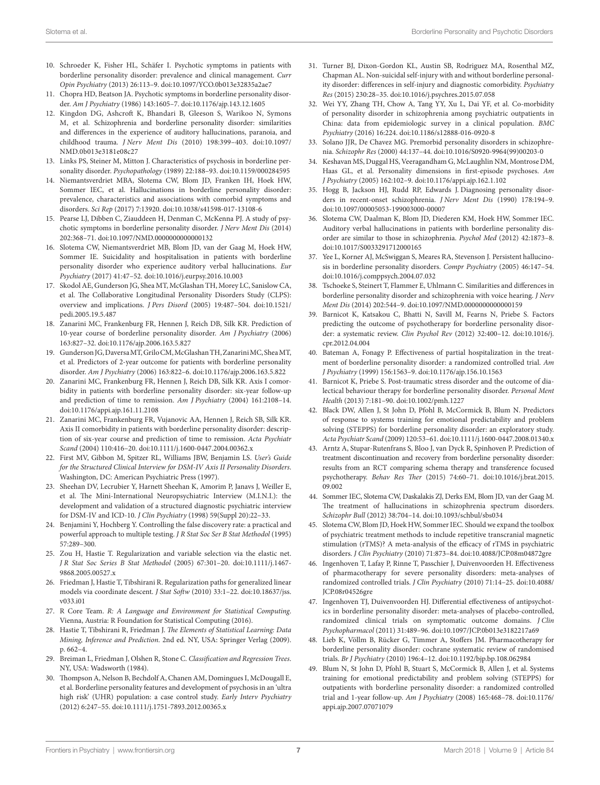- <span id="page-6-0"></span>10. Schroeder K, Fisher HL, Schäfer I. Psychotic symptoms in patients with borderline personality disorder: prevalence and clinical management. *Curr Opin Psychiatry* (2013) 26:113–9. doi[:10.1097/YCO.0b013e32835a2ae7](https://doi.org/10.1097/YCO.0b013e32835a2ae7)
- <span id="page-6-1"></span>11. Chopra HD, Beatson JA. Psychotic symptoms in borderline personality disorder. *Am J Psychiatry* (1986) 143:1605–7. doi[:10.1176/ajp.143.12.1605](https://doi.org/10.1176/ajp.143.12.1605)
- <span id="page-6-3"></span>12. Kingdon DG, Ashcroft K, Bhandari B, Gleeson S, Warikoo N, Symons M, et al. Schizophrenia and borderline personality disorder: similarities and differences in the experience of auditory hallucinations, paranoia, and childhood trauma. *J Nerv Ment Dis* (2010) 198:399–403. doi:[10.1097/](https://doi.org/10.1097/NMD.0b013e3181e08c27) [NMD.0b013e3181e08c27](https://doi.org/10.1097/NMD.0b013e3181e08c27)
- <span id="page-6-4"></span>13. Links PS, Steiner M, Mitton J. Characteristics of psychosis in borderline personality disorder. *Psychopathology* (1989) 22:188–93. doi:[10.1159/000284595](https://doi.org/10.1159/000284595)
- <span id="page-6-2"></span>14. Niemantsverdriet MBA, Slotema CW, Blom JD, Franken IH, Hoek HW, Sommer IEC, et al. Hallucinations in borderline personality disorder: prevalence, characteristics and associations with comorbid symptoms and disorders. *Sci Rep* (2017) 7:13920. doi:[10.1038/s41598-017-13108-6](https://doi.org/10.1038/s41598-017-13108-6)
- <span id="page-6-5"></span>15. Pearse LJ, Dibben C, Ziauddeen H, Denman C, McKenna PJ. A study of psychotic symptoms in borderline personality disorder. *J Nerv Ment Dis* (2014) 202:368–71. doi:[10.1097/NMD.0000000000000132](https://doi.org/10.1097/NMD.0000000000000132)
- <span id="page-6-6"></span>16. Slotema CW, Niemantsverdriet MB, Blom JD, van der Gaag M, Hoek HW, Sommer IE. Suicidality and hospitalisation in patients with borderline personality disorder who experience auditory verbal hallucinations. *Eur Psychiatry* (2017) 41:47–52. doi:[10.1016/j.eurpsy.2016.10.003](https://doi.org/10.1016/j.eurpsy.2016.10.003)
- <span id="page-6-7"></span>17. Skodol AE, Gunderson JG, Shea MT, McGlashan TH, Morey LC, Sanislow CA, et al. The Collaborative Longitudinal Personality Disorders Study (CLPS): overview and implications. *J Pers Disord* (2005) 19:487–504. doi[:10.1521/](https://doi.org/10.1521/pedi.2005.19.5.487) [pedi.2005.19.5.487](https://doi.org/10.1521/pedi.2005.19.5.487)
- <span id="page-6-8"></span>18. Zanarini MC, Frankenburg FR, Hennen J, Reich DB, Silk KR. Prediction of 10-year course of borderline personality disorder. *Am J Psychiatry* (2006) 163:827–32. doi:[10.1176/ajp.2006.163.5.827](https://doi.org/10.1176/ajp.2006.163.5.827)
- <span id="page-6-9"></span>19. Gunderson JG, Daversa MT, Grilo CM, McGlashan TH, Zanarini MC, Shea MT, et al. Predictors of 2-year outcome for patients with borderline personality disorder. *Am J Psychiatry* (2006) 163:822–6. doi:[10.1176/ajp.2006.163.5.822](https://doi.org/10.1176/ajp.2006.163.5.822)
- 20. Zanarini MC, Frankenburg FR, Hennen J, Reich DB, Silk KR. Axis I comorbidity in patients with borderline personality disorder: six-year follow-up and prediction of time to remission. *Am J Psychiatry* (2004) 161:2108–14. doi:[10.1176/appi.ajp.161.11.2108](https://doi.org/10.1176/appi.ajp.161.11.2108)
- <span id="page-6-10"></span>21. Zanarini MC, Frankenburg FR, Vujanovic AA, Hennen J, Reich SB, Silk KR. Axis II comorbidity in patients with borderline personality disorder: description of six-year course and prediction of time to remission. *Acta Psychiatr Scand* (2004) 110:416–20. doi[:10.1111/j.1600-0447.2004.00362.x](https://doi.org/10.1111/j.1600-0447.2004.00362.x)
- <span id="page-6-11"></span>22. First MV, Gibbon M, Spitzer RL, Williams JBW, Benjamin LS. *User's Guide for the Structured Clinical Interview for DSM-IV Axis II Personality Disorders*. Washington, DC: American Psychiatric Press (1997).
- <span id="page-6-12"></span>23. Sheehan DV, Lecrubier Y, Harnett Sheehan K, Amorim P, Janavs J, Weiller E, et al. The Mini-International Neuropsychiatric Interview (M.I.N.I.): the development and validation of a structured diagnostic psychiatric interview for DSM-IV and ICD-10. *J Clin Psychiatry* (1998) 59(Suppl 20):22–33.
- <span id="page-6-13"></span>24. Benjamini Y, Hochberg Y. Controlling the false discovery rate: a practical and powerful approach to multiple testing. *J R Stat Soc Ser B Stat Methodol* (1995) 57:289–300.
- <span id="page-6-14"></span>25. Zou H, Hastie T. Regularization and variable selection via the elastic net. *J R Stat Soc Series B Stat Methodol* (2005) 67:301–20. doi:[10.1111/j.1467-](https://doi.org/10.1111/j.1467-
9868.2005.00527.x) [9868.2005.00527.x](https://doi.org/10.1111/j.1467-
9868.2005.00527.x)
- <span id="page-6-15"></span>26. Friedman J, Hastie T, Tibshirani R. Regularization paths for generalized linear models via coordinate descent. *J Stat Softw* (2010) 33:1–22. doi:[10.18637/jss.](https://doi.org/10.18637/jss.v033.i01) [v033.i01](https://doi.org/10.18637/jss.v033.i01)
- <span id="page-6-16"></span>27. R Core Team. *R: A Language and Environment for Statistical Computing*. Vienna, Austria: R Foundation for Statistical Computing (2016).
- <span id="page-6-17"></span>28. Hastie T, Tibshirani R, Friedman J. *The Elements of Statistical Learning: Data Mining, Inference and Prediction*. 2nd ed. NY, USA: Springer Verlag (2009). p. 662–4.
- <span id="page-6-18"></span>29. Breiman L, Friedman J, Olshen R, Stone C. *Classification and Regression Trees*. NY, USA: Wadsworth (1984).
- <span id="page-6-19"></span>30. Thompson A, Nelson B, Bechdolf A, Chanen AM, Domingues I, McDougall E, et al. Borderline personality features and development of psychosis in an 'ultra high risk' (UHR) population: a case control study. *Early Interv Psychiatry* (2012) 6:247–55. doi:[10.1111/j.1751-7893.2012.00365.x](https://doi.org/10.1111/j.1751-7893.2012.00365.x)
- <span id="page-6-20"></span>31. Turner BJ, Dixon-Gordon KL, Austin SB, Rodriguez MA, Rosenthal MZ, Chapman AL. Non-suicidal self-injury with and without borderline personality disorder: differences in self-injury and diagnostic comorbidity. *Psychiatry Res* (2015) 230:28–35. doi:[10.1016/j.psychres.2015.07.058](https://doi.org/10.1016/j.psychres.2015.07.058)
- <span id="page-6-21"></span>32. Wei YY, Zhang TH, Chow A, Tang YY, Xu L, Dai YF, et al. Co-morbidity of personality disorder in schizophrenia among psychiatric outpatients in China: data from epidemiologic survey in a clinical population. *BMC Psychiatry* (2016) 16:224. doi:[10.1186/s12888-016-0920-8](https://doi.org/10.1186/s12888-016-0920-8)
- 33. Solano JJR, De Chavez MG. Premorbid personality disorders in schizophrenia. *Schizophr Res* (2000) 44:137–44. doi[:10.1016/S0920-9964\(99\)00203-0](https://doi.org/10.1016/S0920-9964(99)00203-0)
- 34. Keshavan MS, Duggal HS, Veeragandham G, McLaughlin NM, Montrose DM, Haas GL, et al. Personality dimensions in first-episode psychoses. *Am J Psychiatry* (2005) 162:102–9. doi[:10.1176/appi.ajp.162.1.102](https://doi.org/10.1176/appi.ajp.162.1.102)
- <span id="page-6-22"></span>35. Hogg B, Jackson HJ, Rudd RP, Edwards J. Diagnosing personality disorders in recent-onset schizophrenia. *J Nerv Ment Dis* (1990) 178:194–9. doi:[10.1097/00005053-199003000-00007](https://doi.org/10.1097/00005053-199003000-00007)
- <span id="page-6-23"></span>36. Slotema CW, Daalman K, Blom JD, Diederen KM, Hoek HW, Sommer IEC. Auditory verbal hallucinations in patients with borderline personality disorder are similar to those in schizophrenia. *Psychol Med* (2012) 42:1873–8. doi:[10.1017/S0033291712000165](https://doi.org/10.1017/S0033291712000165)
- <span id="page-6-24"></span>37. Yee L, Korner AJ, McSwiggan S, Meares RA, Stevenson J. Persistent hallucinosis in borderline personality disorders. *Compr Psychiatry* (2005) 46:147–54. doi:[10.1016/j.comppsych.2004.07.032](https://doi.org/10.1016/j.comppsych.2004.07.032)
- <span id="page-6-25"></span>38. Tschoeke S, Steinert T, Flammer E, Uhlmann C. Similarities and differences in borderline personality disorder and schizophrenia with voice hearing. *J Nerv Ment Dis* (2014) 202:544–9. doi:[10.1097/NMD.0000000000000159](https://doi.org/10.1097/NMD.0000000000000159)
- <span id="page-6-26"></span>39. Barnicot K, Katsakou C, Bhatti N, Savill M, Fearns N, Priebe S. Factors predicting the outcome of psychotherapy for borderline personality disorder: a systematic review. *Clin Psychol Rev* (2012) 32:400–12. doi:[10.1016/j.](https://doi.org/10.1016/j.cpr.2012.04.004) [cpr.2012.04.004](https://doi.org/10.1016/j.cpr.2012.04.004)
- 40. Bateman A, Fonagy P. Effectiveness of partial hospitalization in the treatment of borderline personality disorder: a randomized controlled trial. *Am J Psychiatry* (1999) 156:1563–9. doi:[10.1176/ajp.156.10.1563](https://doi.org/10.1176/ajp.156.10.1563)
- 41. Barnicot K, Priebe S. Post-traumatic stress disorder and the outcome of dialectical behaviour therapy for borderline personality disorder. *Personal Ment Health* (2013) 7:181–90. doi:[10.1002/pmh.1227](https://doi.org/10.1002/pmh.1227)
- <span id="page-6-27"></span>42. Black DW, Allen J, St John D, Pfohl B, McCormick B, Blum N. Predictors of response to systems training for emotional predictability and problem solving (STEPPS) for borderline personality disorder: an exploratory study. *Acta Psychiatr Scand* (2009) 120:53–61. doi[:10.1111/j.1600-0447.2008.01340.x](https://doi.org/10.1111/j.1600-0447.2008.01340.x)
- <span id="page-6-28"></span>43. Arntz A, Stupar-Rutenfrans S, Bloo J, van Dyck R, Spinhoven P. Prediction of treatment discontinuation and recovery from borderline personality disorder: results from an RCT comparing schema therapy and transference focused psychotherapy. *Behav Res Ther* (2015) 74:60–71. doi:[10.1016/j.brat.2015.](https://doi.org/10.1016/j.brat.2015.
09.002) [09.002](https://doi.org/10.1016/j.brat.2015.
09.002)
- <span id="page-6-29"></span>44. Sommer IEC, Slotema CW, Daskalakis ZJ, Derks EM, Blom JD, van der Gaag M. The treatment of hallucinations in schizophrenia spectrum disorders. *Schizophr Bull* (2012) 38:704–14. doi[:10.1093/schbul/sbs034](https://doi.org/10.1093/schbul/sbs034)
- <span id="page-6-30"></span>45. Slotema CW, Blom JD, Hoek HW, Sommer IEC. Should we expand the toolbox of psychiatric treatment methods to include repetitive transcranial magnetic stimulation (rTMS)? A meta-analysis of the efficacy of rTMS in psychiatric disorders. *J Clin Psychiatry* (2010) 71:873–84. doi:[10.4088/JCP.08m04872gre](https://doi.org/10.4088/JCP.08m04872gre)
- <span id="page-6-31"></span>46. Ingenhoven T, Lafay P, Rinne T, Passchier J, Duivenvoorden H. Effectiveness of pharmacotherapy for severe personality disorders: meta-analyses of randomized controlled trials. *J Clin Psychiatry* (2010) 71:14–25. doi[:10.4088/](https://doi.org/10.4088/JCP.08r04526gre) [JCP.08r04526gre](https://doi.org/10.4088/JCP.08r04526gre)
- 47. Ingenhoven TJ, Duivenvoorden HJ. Differential effectiveness of antipsychotics in borderline personality disorder: meta-analyses of placebo-controlled, randomized clinical trials on symptomatic outcome domains. *J Clin Psychopharmacol* (2011) 31:489–96. doi:[10.1097/JCP.0b013e3182217a69](https://doi.org/10.1097/JCP.0b013e3182217a69)
- <span id="page-6-32"></span>48. Lieb K, Völlm B, Rücker G, Timmer A, Stoffers JM. Pharmacotherapy for borderline personality disorder: cochrane systematic review of randomised trials. *Br J Psychiatry* (2010) 196:4–12. doi:[10.1192/bjp.bp.108.062984](https://doi.org/10.1192/bjp.bp.108.062984)
- <span id="page-6-33"></span>49. Blum N, St John D, Pfohl B, Stuart S, McCormick B, Allen J, et al. Systems training for emotional predictability and problem solving (STEPPS) for outpatients with borderline personality disorder: a randomized controlled trial and 1-year follow-up. *Am J Psychiatry* (2008) 165:468–78. doi[:10.1176/](https://doi.org/10.1176/appi.ajp.2007.07071079) [appi.ajp.2007.07071079](https://doi.org/10.1176/appi.ajp.2007.07071079)